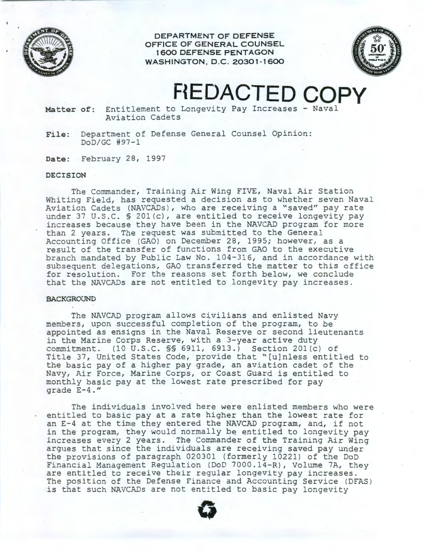

**DEPARTMENT OF DEFENSE OFFICE OF GENERAL COUNSEL 1 600 DEFENSE PENTAGON WASHINGTON, D.C. 20301-1600** 



## **F{EDACTED COPY**

**Matter of:** Entitlement to Longevity Pay Increases - Naval Aviation Cadets

**File:** Department of Defense General Counsel Opinion: DoD/GC #97-1

**Date:** February 28, 1997

## **DECISION**

The Commander, Training Air Wing FIVE, Naval Air Station Whiting Field, has requested a decision as to whether seven Naval Aviation Cadets (NAVCADs), who are receiving a "saved" pay rate under 37 U.S.C. § 201(c), are entitled to receive longevity pay increases because they have been in the NAVCAD program for more than 2 years. The request was submitted to the General Accounting Office (GAO) on December 28, 1995; however, as a result of the transfer of functions from GAO to the executive branch mandated by Public Law No. 104-316, and in accordance with subsequent delegations, GAO transferred the matter to this office for resolution. For the reasons set forth below, we conclude that the NAVCADs are not entitled to longevity pay increases.

## **BACKGROUND**

The NAVCAD program allows civilians and enlisted Navy members, upon successful completion of the program, to be appointed as ensigns in the Naval Reserve or second lieutenants in the Marine Corps Reserve, with a 3-year active duty commitment. (10 U.S.C. §§ 6911, 6913.) Section 201(c) of Title 37, United States Code, provide that "[u]nless entitled to the basic pay of a higher pay grade, an aviation cadet of the Navy, Air Force, Marine Corps, or Coast Guard is entitled to monthly basic pay at the lowest rate prescribed for pay grade E-4."

The individuals involved here were enlisted members who were entitled to basic pay at a rate higher than the lowest rate for an E-4 at the time they entered the NAVCAD program, and, if not in the program, they would normally be entitled to longevity pay increases every 2 years. The Commander of the Training Air Wing argues that since the individuals are receiving saved pay under the provisions of paragraph 020301 (formerly 10221) of the DoD Financial Management Regulation (DoD 7000.14-R), Volume 7A, they are entitled to receive their regular longevity pay increases. The position of the Defense Finance and Accounting Service (DFAS) is that such NAVCADs are not entitled to basic pay longevity

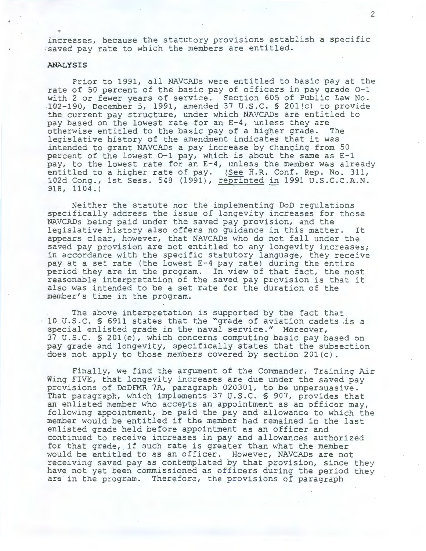increases, because the statutory provisions establish a specific .saved pay rate to which the members are entitled.

## **ANALYSIS**

Prior to 1991, all NAVCADs were entitled to basic pay at the rate of 50 percent of the basic pay of officers in pay grade 0-1 with 2 or fewer years of service. Section 605 of Public Law No. 102-190, December 5, 1991, amended 37 U.S.C. § 20l(c) to provide the current pay structure, under which NAVCADs are entitled to pay based on the lowest rate for an E-4, unless they are otherwise entitled to the basic pay of a higher grade. The legislative history of the amendment indicates that it was intended to grant NAVCADs a pay increase by changing from 50 percent of the lowest 0-1 pay, which is about the same as E-1 pay, to the lowest rate for an E-4, unless the member was already entitled to a higher rate of pay. (See H.R. Conf. Rep. No. 311, 102d Cong., 1st Sess. 548 (1991), reprinted in 1991 U.S.C.C.A.N. 918, 1104.)

Neither the statute nor the implementing DoD regulations specifically address the issue of longevity increases for those NAVCADs being paid under the saved pay provision, and the legislative history also offers no guidance in this matter. It appears clear, however, that NAVCADs who do not fall under the saved pay provision are not entitled to any longevity increases; in accordance with the specific statutory language, they receive pay at a set rate (the lowest E-4 pay rate) during the entire period they are in the program. In view of that fact, the most reasonable interpretation of the saved pay provision is that it also was intended to be a set rate for the duration of the member's time in the program.

The above interpretation is supported by the fact that 10 U.S.C. § 6911 states that the "grade of aviation cadets .is a special enlisted grade in the naval service." Moreover, 37 U.S.C. § 20l(e), which concerns computing basic pay based on pay grade and longevity, specifically states that the subsection does not apply to those members covered by section 20l(c).

Finally, we find the argument of the Commander, Training Air Wing FIVE, that longevity increases are due under the saved pay provisions of DoDFMR 7A, paragraph 020301, to be unpersuasive. That paragraph, which implements 37 U.S.C. § 907, provides that an enlisted member who accepts an appointment as an officer may, following appointment, be paid the pay and allowance to which the member would be entitled if the member had remained in the last enlisted grade held before appointment as an officer and continued to receive increases in pay and allowances authorized for that grade, if such rate is greater than what the member would be entitled to as an officer. However, NAVCADs are not receiving saved pay as contemplated by that provision, since they have not yet been commissioned as officers during the period they are in the program. Therefore, the provisions of paragraph